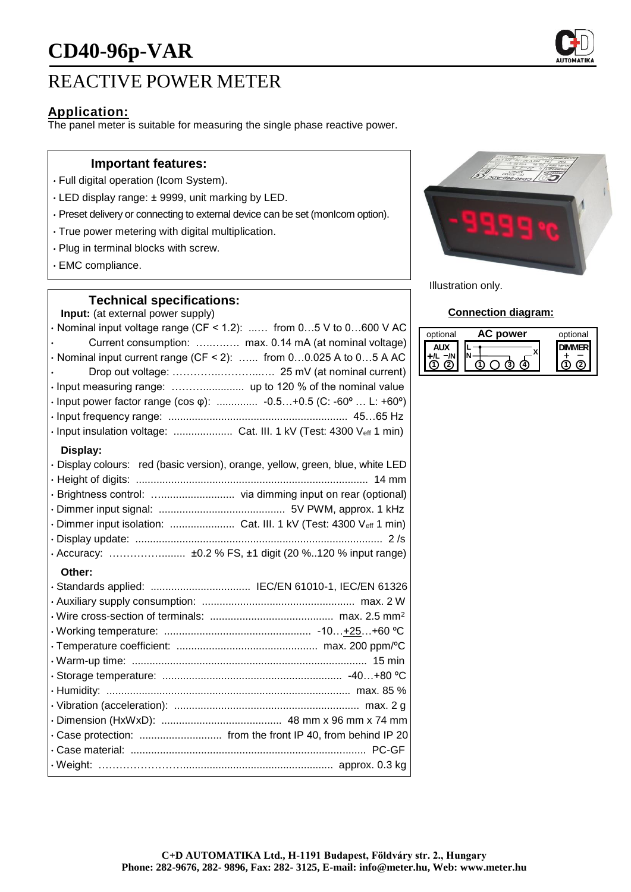# **CD40-96p-VAR**

# REACTIVE POWER METER

### **Application:**

The panel meter is suitable for measuring the single phase reactive power.

#### **Important features:**

- Full digital operation (Icom System).
- LED display range: ± 9999, unit marking by LED.
- Preset delivery or connecting to external device can be set (monIcom option).
- True power metering with digital multiplication.
- Plug in terminal blocks with screw.
- EMC compliance.

#### **Technical specifications:**

**Input:** (at external power supply)

 $\cdot$  Nominal input voltage range (CF < 1.2): ...... from 0...5 V to 0...600 V AC • Current consumption: …..….…. max. 0.14 mA (at nominal voltage)  $\cdot$  Nominal input current range (CF < 2): ...... from 0...0.025 A to 0...5 A AC • Drop out voltage: …………..………...…. 25 mV (at nominal current) • Input measuring range: ……….............. up to 120 % of the nominal value • Input power factor range (cos φ): .............. -0.5…+0.5 (C: -60º … L: +60º) • Input frequency range: ............................................................. 45…65 Hz • Input insulation voltage: .................... Cat. III. 1 kV (Test: 4300 Veff 1 min) **Display:** • Display colours: red (basic version), orange, yellow, green, blue, white LED • Height of digits: ............................................................................... 14 mm • Brightness control: …......................... via dimming input on rear (optional) • Dimmer input signal: ........................................... 5V PWM, approx. 1 kHz • Dimmer input isolation: ........................... Cat. III. 1 kV (Test: 4300 Veff 1 min) • Display update: .................................................................................... 2 /s • Accuracy: ……………........ ±0.2 % FS, ±1 digit (20 %..120 % input range) **Other:** • Standards applied: .................................. IEC/EN 61010-1, IEC/EN 61326 • Auxiliary supply consumption: .................................................... max. 2 W • Wire cross-section of terminals: .......................................... max. 2.5 mm<sup>2</sup> • Working temperature: .................................................. -10…+25…+60 ºC





Illustration only.

#### **Connection diagram:**